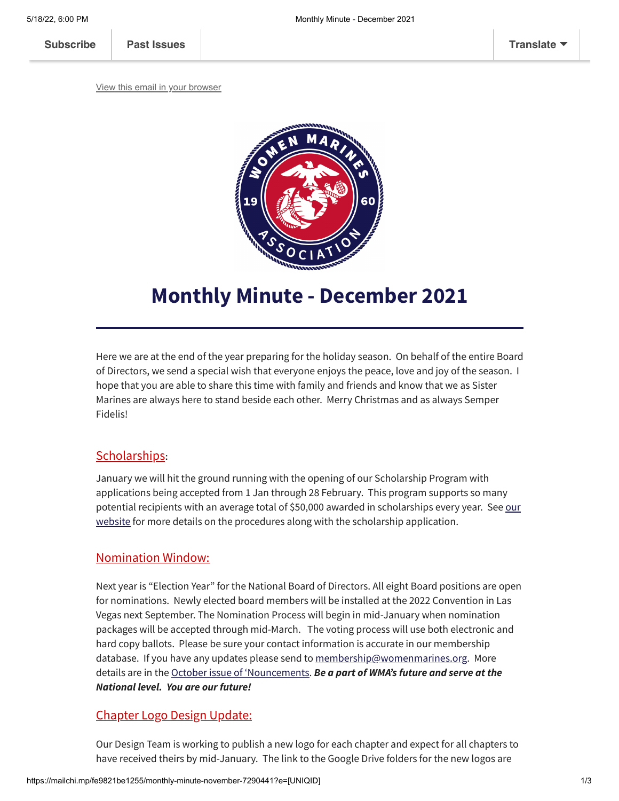[View this email in your browser](https://mailchi.mp/fe9821be1255/monthly-minute-november-7290441?e=[UNIQID])



# **Monthly Minute - December 2021**

Here we are at the end of the year preparing for the holiday season. On behalf of the entire Board of Directors, we send a special wish that everyone enjoys the peace, love and joy of the season. I hope that you are able to share this time with family and friends and know that we as Sister Marines are always here to stand beside each other. Merry Christmas and as always Semper Fidelis!

## [Scholarships](https://www.womenmarines.org/scholarships%C2%A0)**:**

January we will hit the ground running with the opening of our Scholarship Program with applications being accepted from 1 Jan through 28 February. This program supports so many potential recipients with an average total of \$50,000 awarded in scholarships every year. See our website for more details on the procedures along with [the scholarship](https://www.womenmarines.org/scholarships%C2%A0) application.

## Nomination Window:

Next year is "Election Year" for the National Board of Directors. All eight Board positions are open for nominations. Newly elected board members will be installed at the 2022 Convention in Las Vegas next September. The Nomination Process will begin in mid-January when nomination packages will be accepted through mid-March. The voting process will use both electronic and hard copy ballots. Please be sure your contact information is accurate in our membership database. If you have any updates please send to [membership@womenmarines.org](mailto:membership@womenmarines.org). More details are in the October issue of ['Nouncements](https://mcusercontent.com/c5c94f7b8b7eb3d03d3afa458/files/7a69417c-8765-534d-5b74-9635b7d3857f/Oct2021__Nouncements.pdf). *Be a part of WMA's future and serve at the National level. You are our future!*

## Chapter Logo Design Update:

Our Design Team is working to publish a new logo for each chapter and expect for all chapters to have received theirs by mid-January. The link to the Google Drive folders for the new logos are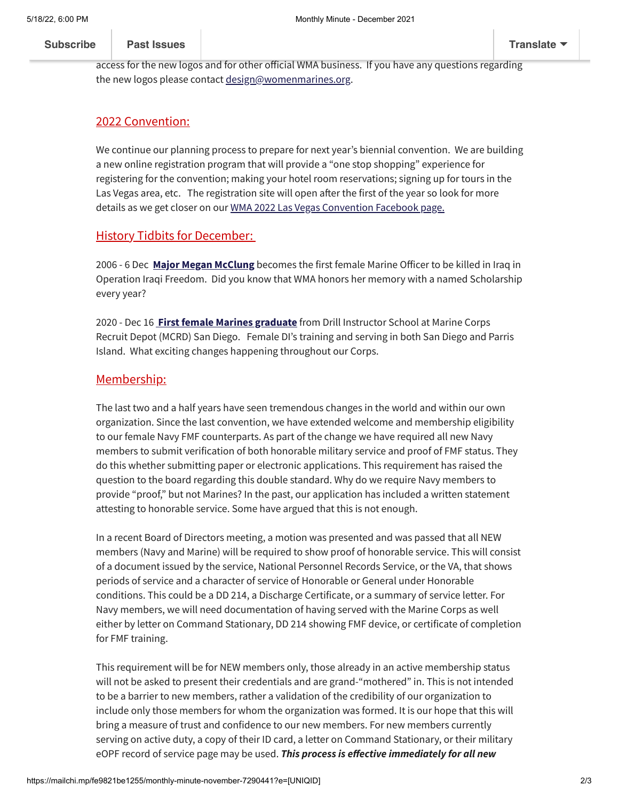being sent directly to the official WMA chapter emails and not personal email addresses. Please ensure someone from your chapter is monitoring the sound their Chapter email and management of the sound of the **[Subscribe](http://eepurl.com/g1PW-5) [Past Issues](https://us8.campaign-archive.com/home/?u=c5c94f7b8b7eb3d03d3afa458&id=141e1f6d5b) [Translate](javascript:;)**

access for the new logos and for other official WMA business. If you have any questions regarding the new logos please contact [design@womenmarines.org.](mailto:design@womenmarines.org)

#### 2022 Convention:

We continue our planning process to prepare for next year's biennial convention. We are building a new online registration program that will provide a "one stop shopping" experience for registering for the convention; making your hotel room reservations; signing up for tours in the Las Vegas area, etc. The registration site will open after the first of the year so look for more details as we get closer on our WMA 2022 Las Vegas [Convention](https://www.facebook.com/events/1116099579159484/?active_tab=discussion) Facebook page.

#### **History Tidbits for December:**

2006 - 6 Dec **Major Megan [McClung](https://usnamemorialhall.org/index.php/MEGAN_M._MCCLUNG,_MAJ,_USMCR)** becomes the first female Marine Officer to be killed in Iraq in Operation Iraqi Freedom. Did you know that WMA honors her memory with a named Scholarship every year?

2020 - Dec 16 **First female Marines [graduate](https://www.ocregister.com/2020/12/16/first-female-marine-drill-instructors-graduate-from-an-integrated-course-at-san-diego-recruit-depot/)** from Drill Instructor School at Marine Corps Recruit Depot (MCRD) San Diego. Female DI's training and serving in both San Diego and Parris Island. What exciting changes happening throughout our Corps.

#### Membership:

The last two and a half years have seen tremendous changes in the world and within our own organization. Since the last convention, we have extended welcome and membership eligibility to our female Navy FMF counterparts. As part of the change we have required all new Navy members to submit verification of both honorable military service and proof of FMF status. They do this whether submitting paper or electronic applications. This requirement has raised the question to the board regarding this double standard. Why do we require Navy members to provide "proof," but not Marines? In the past, our application has included a written statement attesting to honorable service. Some have argued that this is not enough.

In a recent Board of Directors meeting, a motion was presented and was passed that all NEW members (Navy and Marine) will be required to show proof of honorable service. This will consist of a document issued by the service, National Personnel Records Service, or the VA, that shows periods of service and a character of service of Honorable or General under Honorable conditions. This could be a DD 214, a Discharge Certificate, or a summary of service letter. For Navy members, we will need documentation of having served with the Marine Corps as well either by letter on Command Stationary, DD 214 showing FMF device, or certificate of completion for FMF training.

This requirement will be for NEW members only, those already in an active membership status will not be asked to present their credentials and are grand-"mothered" in. This is not intended to be a barrier to new members, rather a validation of the credibility of our organization to include only those members for whom the organization was formed. It is our hope that this will bring a measure of trust and confidence to our new members. For new members currently serving on active duty, a copy of their ID card, a letter on Command Stationary, or their military eOPF record of service page may be used. *This process is effective immediately for all new*